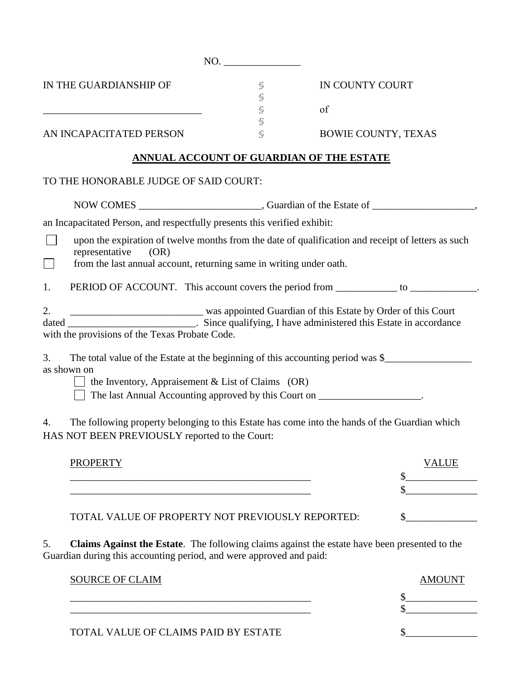NO. IN THE GUARDIANSHIP OF § IN COUNTY COURT § \_\_\_\_\_\_\_\_\_\_\_\_\_\_\_\_\_\_\_\_\_\_\_\_\_\_\_\_\_\_\_ § of § AN INCAPACITATED PERSON \$ BOWIE COUNTY, TEXAS **ANNUAL ACCOUNT OF GUARDIAN OF THE ESTATE**  TO THE HONORABLE JUDGE OF SAID COURT: NOW COMES \_\_\_\_\_\_\_\_\_\_\_\_\_\_\_\_\_\_\_\_\_\_\_\_, Guardian of the Estate of \_\_\_\_\_\_\_\_\_\_\_\_\_\_\_\_\_\_\_\_, an Incapacitated Person, and respectfully presents this verified exhibit:  $\Box$ upon the expiration of twelve months from the date of qualification and receipt of letters as such representative (OR) from the last annual account, returning same in writing under oath.  $\Box$ 1. PERIOD OF ACCOUNT. This account covers the period from \_\_\_\_\_\_\_\_\_\_\_\_ to \_\_\_\_\_\_\_\_\_\_\_. 2. \_\_\_\_\_\_\_\_\_\_\_\_\_\_\_\_\_\_\_\_\_\_\_\_\_\_\_\_\_\_\_\_ was appointed Guardian of this Estate by Order of this Court dated \_\_\_\_\_\_\_\_\_\_\_\_\_\_\_\_\_\_\_\_\_\_\_\_\_\_. Since qualifying, I have administered this Estate in accordance with the provisions of the Texas Probate Code. 3. The total value of the Estate at the beginning of this accounting period was \$ as shown on  $\Box$  the Inventory, Appraisement & List of Claims (OR)  $\Box$  The last Annual Accounting approved by this Court on  $\Box$ 4. The following property belonging to this Estate has come into the hands of the Guardian which HAS NOT BEEN PREVIOUSLY reported to the Court: PROPERTY **SECURE 2020 FOR SEXUAL SERVICE SERVICE**  $\frac{12}{2}$  $\mathbb{S}$ TOTAL VALUE OF PROPERTY NOT PREVIOUSLY REPORTED:  $\qquad \qquad$  \$ 5. **Claims Against the Estate**. The following claims against the estate have been presented to the Guardian during this accounting period, and were approved and paid:

| <b>SOURCE OF CLAIM</b>               | AMOUN |
|--------------------------------------|-------|
|                                      |       |
| TOTAL VALUE OF CLAIMS PAID BY ESTATE |       |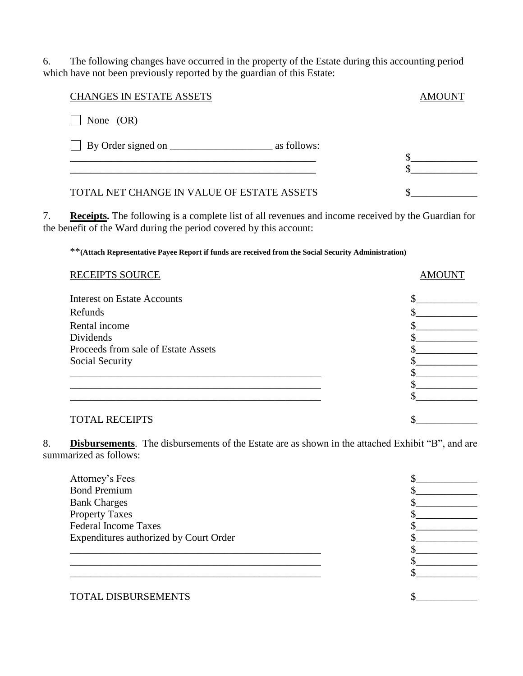6. The following changes have occurred in the property of the Estate during this accounting period which have not been previously reported by the guardian of this Estate:

| <b>CHANGES IN ESTATE ASSETS</b>            | AMOUNT |
|--------------------------------------------|--------|
| None $(OR)$                                |        |
| as follows:                                |        |
| TOTAL NET CHANGE IN VALUE OF ESTATE ASSETS |        |

7. **Receipts.** The following is a complete list of all revenues and income received by the Guardian for the benefit of the Ward during the period covered by this account:

\*\***(Attach Representative Payee Report if funds are received from the Social Security Administration)**

| RECEIPTS SOURCE                     | <b>AMOUNT</b> |
|-------------------------------------|---------------|
| <b>Interest on Estate Accounts</b>  |               |
| Refunds                             |               |
| Rental income                       |               |
| Dividends                           |               |
| Proceeds from sale of Estate Assets |               |
| Social Security                     |               |
|                                     |               |
|                                     |               |
|                                     |               |
|                                     |               |
| <b>TOTAL RECEIPTS</b>               |               |

8. **Disbursements**. The disbursements of the Estate are as shown in the attached Exhibit "B", and are summarized as follows:

| Attorney's Fees                        |  |
|----------------------------------------|--|
| <b>Bond Premium</b>                    |  |
| <b>Bank Charges</b>                    |  |
| <b>Property Taxes</b>                  |  |
| <b>Federal Income Taxes</b>            |  |
| Expenditures authorized by Court Order |  |
|                                        |  |
|                                        |  |
|                                        |  |
|                                        |  |
|                                        |  |

TOTAL DISBURSEMENTS  $\qquad \qquad$  \$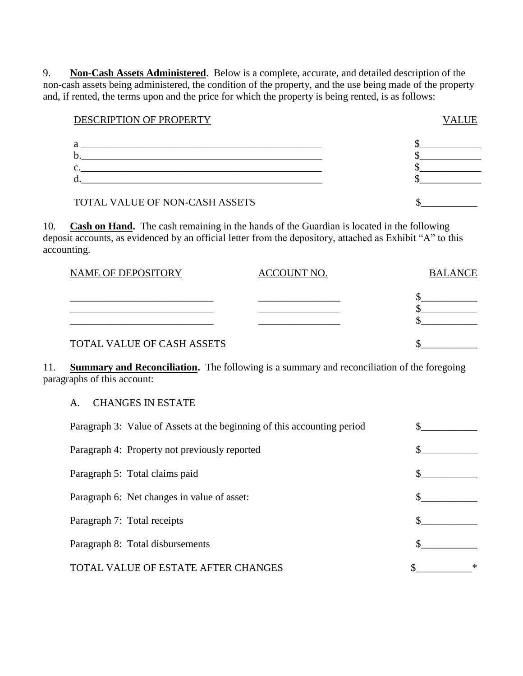9. **Non-Cash Assets Administered**. Below is a complete, accurate, and detailed description of the non-cash assets being administered, the condition of the property, and the use being made of the property and, if rented, the terms upon and the price for which the property is being rented, is as follows:

| DESCRIPTION OF PROPERTY | <b>VALUE</b> |
|-------------------------|--------------|
|                         |              |

| a  |  |
|----|--|
| υ. |  |
| ◡. |  |
| u. |  |
|    |  |

## TOTAL VALUE OF NON-CASH ASSETS  $\qquad \qquad$

10. **Cash on Hand.** The cash remaining in the hands of the Guardian is located in the following deposit accounts, as evidenced by an official letter from the depository, attached as Exhibit "A" to this accounting.

| <b>NAME OF DEPOSITORY</b>  | ACCOUNT NO. | <b>BALANCE</b> |
|----------------------------|-------------|----------------|
|                            |             |                |
|                            |             |                |
| TOTAL VALUE OF CASH ASSETS |             |                |

11. **Summary and Reconciliation.** The following is a summary and reconciliation of the foregoing paragraphs of this account:

A. CHANGES IN ESTATE

| Paragraph 3: Value of Assets at the beginning of this accounting period |  |
|-------------------------------------------------------------------------|--|
| Paragraph 4: Property not previously reported                           |  |
| Paragraph 5: Total claims paid                                          |  |
| Paragraph 6: Net changes in value of asset:                             |  |
| Paragraph 7: Total receipts                                             |  |
| Paragraph 8: Total disbursements                                        |  |
| <b>TOTAL VALUE OF ESTATE AFTER CHANGES</b>                              |  |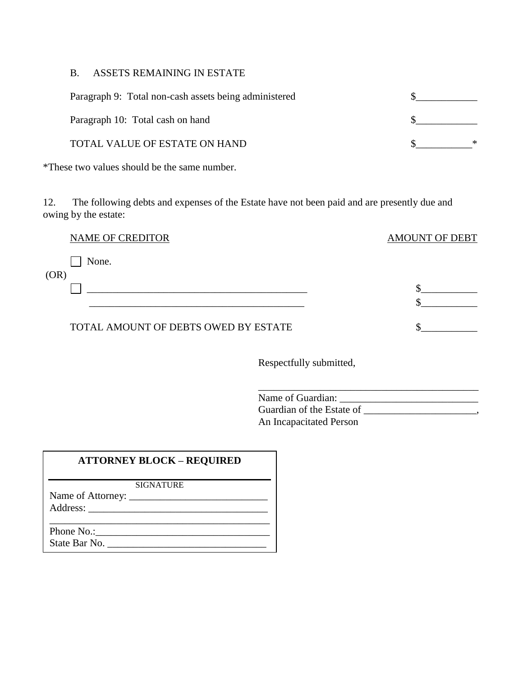#### B. ASSETS REMAINING IN ESTATE

| Paragraph 9: Total non-cash assets being administered |  |
|-------------------------------------------------------|--|
| Paragraph 10: Total cash on hand                      |  |
| TOTAL VALUE OF ESTATE ON HAND                         |  |

\*These two values should be the same number.

12. The following debts and expenses of the Estate have not been paid and are presently due and owing by the estate:

|--|

None.

(OR)

TOTAL AMOUNT OF DEBTS OWED BY ESTATE  $\qquad \qquad \$ 

Respectfully submitted,

 $\mathbb{S}_{\bot}$  , and the contract of the contract of the contract of  $\mathbb{S}_{\bot}$  , and the contract of the contract of the contract of the contract of the contract of the contract of the contract of the contract of the contr

\_\_\_\_\_\_\_\_\_\_\_\_\_\_\_\_\_\_\_\_\_\_\_\_\_\_\_\_\_\_\_\_\_\_\_\_\_\_\_\_\_\_\_ Name of Guardian: Guardian of the Estate of \_\_\_\_\_\_\_\_\_\_\_\_\_\_\_\_\_\_\_\_, An Incapacitated Person

AMOUNT OF DEBT

 $\sim$ 

## **ATTORNEY BLOCK – REQUIRED**

SIGNATURE

Name of Attorney: \_\_\_\_\_\_\_\_\_\_\_\_\_\_\_\_\_\_\_\_\_\_\_\_\_\_\_ Address: \_\_\_\_\_\_\_\_\_\_\_\_\_\_\_\_\_\_\_\_\_\_\_\_\_\_\_\_\_\_\_\_\_\_\_

Phone No.: State Bar No. \_\_\_\_\_\_\_\_\_\_\_\_\_\_\_\_\_\_\_\_\_\_\_\_\_\_\_\_\_\_\_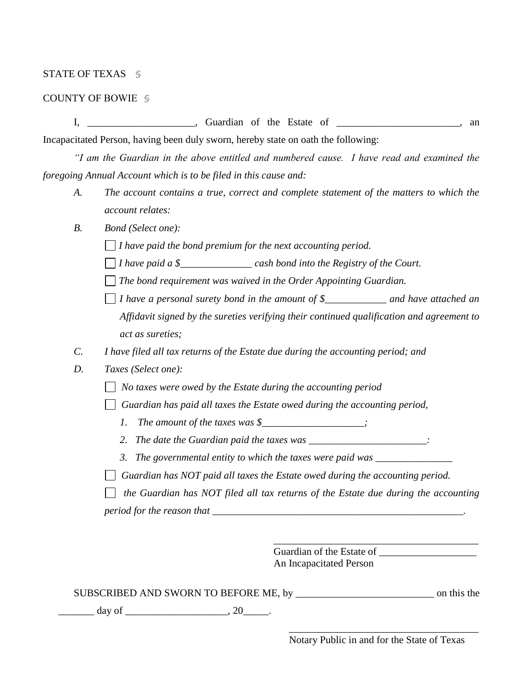### STATE OF TEXAS §

#### COUNTY OF BOWIE §

I, \_\_\_\_\_\_\_\_\_\_\_\_\_\_\_\_\_, Guardian of the Estate of \_\_\_\_\_\_\_\_\_\_\_\_\_\_\_\_\_\_\_\_, an

Incapacitated Person, having been duly sworn, hereby state on oath the following:

*"I am the Guardian in the above entitled and numbered cause. I have read and examined the foregoing Annual Account which is to be filed in this cause and:* 

- *A. The account contains a true, correct and complete statement of the matters to which the account relates:*
- *B. Bond (Select one):*

*I have paid the bond premium for the next accounting period.* 

- *I have paid a \$\_\_\_\_\_\_\_\_\_\_\_\_\_\_ cash bond into the Registry of the Court.*
- *The bond requirement was waived in the Order Appointing Guardian.*
- $\Box$  *I* have a personal surety bond in the amount of \$\_\_\_\_\_\_\_\_\_\_\_\_\_ and have attached an *Affidavit signed by the sureties verifying their continued qualification and agreement to act as sureties;*
- *C. I have filed all tax returns of the Estate due during the accounting period; and*
- *D. Taxes (Select one):*
	- *No taxes were owed by the Estate during the accounting period*
	- *Guardian has paid all taxes the Estate owed during the accounting period,* 
		- *1. The amount of the taxes was \$\_\_\_\_\_\_\_\_\_\_\_\_\_\_\_\_\_;*
		- *2. The date the Guardian paid the taxes was \_\_\_\_\_\_\_\_\_\_\_\_\_\_\_\_\_\_\_\_\_\_\_:*
		- *3. The governmental entity to which the taxes were paid was \_\_\_\_\_\_\_\_\_\_\_\_\_\_\_*
	- *Guardian has NOT paid all taxes the Estate owed during the accounting period.*

 *the Guardian has NOT filed all tax returns of the Estate due during the accounting period for the reason that \_\_\_\_\_\_\_\_\_\_\_\_\_\_\_\_\_\_\_\_\_\_\_\_\_\_\_\_\_\_\_\_\_\_\_\_\_\_\_\_\_\_\_\_\_\_\_\_\_.*

> Guardian of the Estate of An Incapacitated Person

| SUBSCRIBED AND SWORN TO BEFORE ME, by | on this the |
|---------------------------------------|-------------|
|---------------------------------------|-------------|

 $\frac{day}{x}$  day of  $\frac{1}{x}$  and  $\frac{20}{x}$ .

\_\_\_\_\_\_\_\_\_\_\_\_\_\_\_\_\_\_\_\_\_\_\_\_\_\_\_\_\_\_\_\_\_\_\_\_\_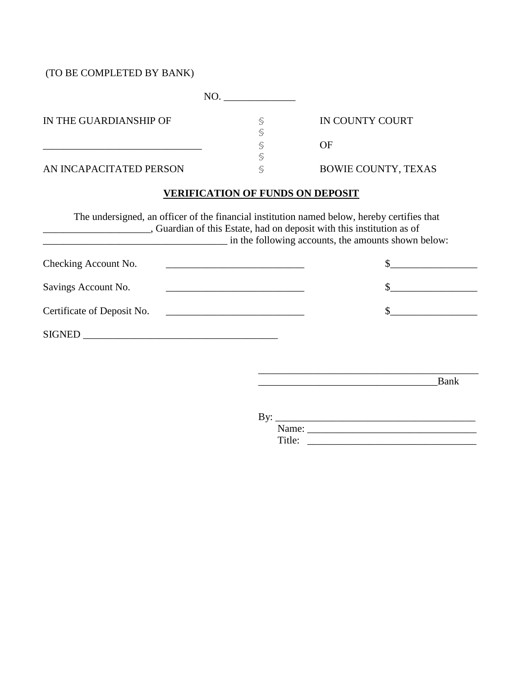# (TO BE COMPLETED BY BANK)

| IN THE GUARDIANSHIP OF  | IN COUNTY COURT            |
|-------------------------|----------------------------|
|                         | OF                         |
| AN INCAPACITATED PERSON | <b>BOWIE COUNTY, TEXAS</b> |

## **VERIFICATION OF FUNDS ON DEPOSIT**

|                                                                                                                                               | The undersigned, an officer of the financial institution named below, hereby certifies that<br>, Guardian of this Estate, had on deposit with this institution as of<br>in the following accounts, the amounts shown below: |  |  |
|-----------------------------------------------------------------------------------------------------------------------------------------------|-----------------------------------------------------------------------------------------------------------------------------------------------------------------------------------------------------------------------------|--|--|
| Checking Account No.<br><u> 1989 - Johann Barbara, martin amerikan basal dan berasal dalam basal dalam basal dalam basal dalam basal dala</u> |                                                                                                                                                                                                                             |  |  |
| Savings Account No.                                                                                                                           |                                                                                                                                                                                                                             |  |  |
| Certificate of Deposit No.<br><u> 1980 - John Stein, Amerikaansk politiker (</u>                                                              |                                                                                                                                                                                                                             |  |  |
| <b>SIGNED</b><br><u> 1980 - Jan Sterling von Berling von Berling von Berling von Berling von Berling von Berling von Berling von B</u>        |                                                                                                                                                                                                                             |  |  |

\_\_\_\_\_\_\_\_\_\_\_\_\_\_\_\_\_\_\_\_\_\_\_\_\_\_\_\_\_\_\_\_\_\_\_Bank

By: \_\_\_\_\_\_\_\_\_\_\_\_\_\_\_\_\_\_\_\_\_\_\_\_\_\_\_\_\_\_\_\_\_\_\_\_\_\_\_

| ۰.<br>- |  |
|---------|--|
|         |  |

\_\_\_\_\_\_\_\_\_\_\_\_\_\_\_\_\_\_\_\_\_\_\_\_\_\_\_\_\_\_\_\_\_\_\_\_\_\_\_\_\_\_\_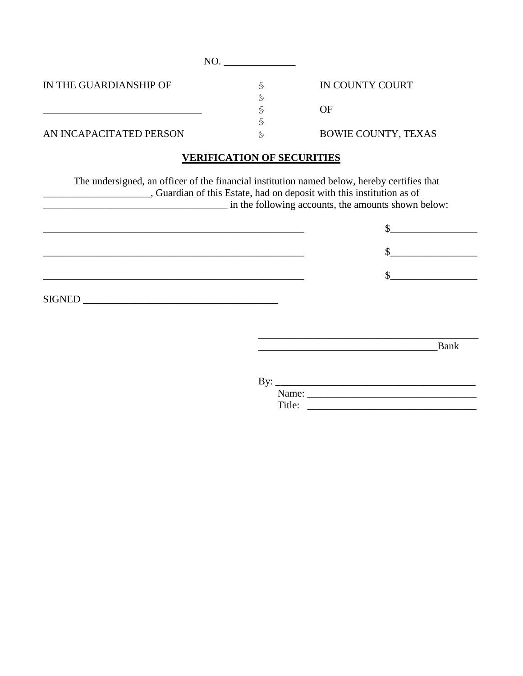| IN THE GUARDIANSHIP OF  | IN COUNTY COURT            |
|-------------------------|----------------------------|
|                         |                            |
|                         | OF                         |
|                         |                            |
| AN INCAPACITATED PERSON | <b>BOWIE COUNTY, TEXAS</b> |

## **VERIFICATION OF SECURITIES**

The undersigned, an officer of the financial institution named below, hereby certifies that \_\_\_\_\_\_\_\_\_\_\_\_\_\_\_\_\_\_\_\_\_, Guardian of this Estate, had on deposit with this institution as of \_\_\_\_\_\_\_\_\_\_\_\_\_\_\_\_\_\_\_\_\_\_\_\_\_\_\_\_\_\_\_\_\_\_\_\_ in the following accounts, the amounts shown below:  $\frac{1}{2}$ \_\_\_\_\_\_\_\_\_\_\_\_\_\_\_\_\_\_\_\_\_\_\_\_\_\_\_\_\_\_\_\_\_\_\_\_\_\_\_\_\_\_\_\_\_\_\_\_\_\_\_ \$\_\_\_\_\_\_\_\_\_\_\_\_\_\_\_\_\_ \_\_\_\_\_\_\_\_\_\_\_\_\_\_\_\_\_\_\_\_\_\_\_\_\_\_\_\_\_\_\_\_\_\_\_\_\_\_\_\_\_\_\_\_\_\_\_\_\_\_\_ \$\_\_\_\_\_\_\_\_\_\_\_\_\_\_\_\_\_  $\begin{minipage}[c]{0.9\linewidth} \textbf{SIGNED} \end{minipage}[1] \begin{minipage}[c]{0.9\linewidth} \centering \begin{minipage}[c]{0.9\linewidth} \centering \end{minipage}[1] \end{minipage}[1] \begin{minipage}[c]{0.9\linewidth} \centering \begin{minipage}[c]{0.9\linewidth} \centering \end{minipage}[1] \end{minipage}[1] \end{minipage}[1] \begin{minipage}[c]{0.9\linewidth} \centering \begin{minipage}[c]{0.9\linewidth} \centering \end{minipage}[1] \end{minipage}[1] \end{minipage}[1] \caption{Example of \text$ 

\_\_\_\_\_\_\_\_\_\_\_\_\_\_\_\_\_\_\_\_\_\_\_\_\_\_\_\_\_\_\_\_\_\_\_Bank

| By: |        |  |
|-----|--------|--|
|     | Name:  |  |
|     | Title: |  |

\_\_\_\_\_\_\_\_\_\_\_\_\_\_\_\_\_\_\_\_\_\_\_\_\_\_\_\_\_\_\_\_\_\_\_\_\_\_\_\_\_\_\_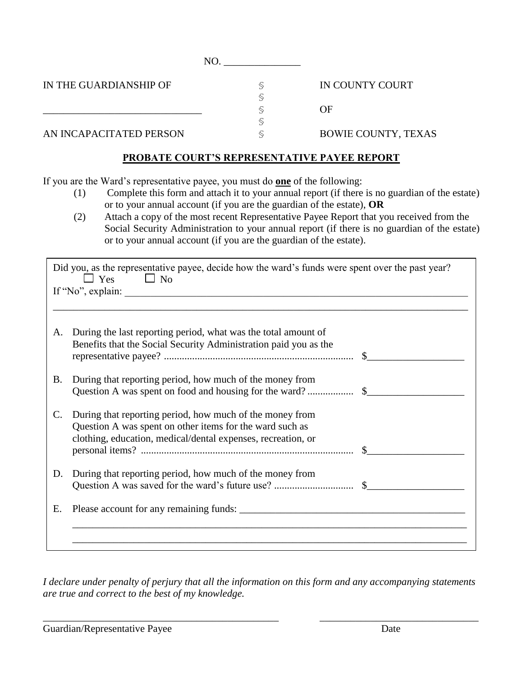NO.

IN THE GUARDIANSHIP OF  $\$\$ 

IN COUNTY COURT

OF

AN INCAPACITATED PERSON  $\leq$ 

\_\_\_\_\_\_\_\_\_\_\_\_\_\_\_\_\_\_\_\_\_\_\_\_\_\_\_\_\_\_\_ §

BOWIE COUNTY, TEXAS

# **PROBATE COURT'S REPRESENTATIVE PAYEE REPORT**

§

§

If you are the Ward's representative payee, you must do **one** of the following:

D. During that reporting period, how much of the money from

- (1) Complete this form and attach it to your annual report (if there is no guardian of the estate) or to your annual account (if you are the guardian of the estate), **OR**
- (2) Attach a copy of the most recent Representative Payee Report that you received from the Social Security Administration to your annual report (if there is no guardian of the estate) or to your annual account (if you are the guardian of the estate).

| Did you, as the representative payee, decide how the ward's funds were spent over the past year?<br>$\Box$ No<br>$\Box$ Yes |                                                                                                                                                                                      |  |
|-----------------------------------------------------------------------------------------------------------------------------|--------------------------------------------------------------------------------------------------------------------------------------------------------------------------------------|--|
|                                                                                                                             | If "No", explain:                                                                                                                                                                    |  |
|                                                                                                                             |                                                                                                                                                                                      |  |
| А.                                                                                                                          | During the last reporting period, what was the total amount of<br>Benefits that the Social Security Administration paid you as the                                                   |  |
| Β.                                                                                                                          | During that reporting period, how much of the money from                                                                                                                             |  |
| C.                                                                                                                          | During that reporting period, how much of the money from<br>Question A was spent on other items for the ward such as<br>clothing, education, medical/dental expenses, recreation, or |  |

personal items? ................................................................................... \$\_\_\_\_\_\_\_\_\_\_\_\_\_\_\_\_\_\_\_

E. Please account for any remaining funds: \_\_\_\_\_\_\_\_\_\_\_\_\_\_\_\_\_\_\_\_\_\_\_\_\_\_\_\_\_\_\_\_\_\_\_\_\_\_\_\_\_\_\_\_

Question A was saved for the ward's future use? ............................... \$\_\_\_\_\_\_\_\_\_\_\_\_\_\_\_\_\_\_\_

\_\_\_\_\_\_\_\_\_\_\_\_\_\_\_\_\_\_\_\_\_\_\_\_\_\_\_\_\_\_\_\_\_\_\_\_\_\_\_\_\_\_\_\_\_\_\_\_\_\_\_\_\_\_\_\_\_\_\_\_\_\_\_\_\_\_\_\_\_\_\_\_\_\_\_\_\_

\_\_\_\_\_\_\_\_\_\_\_\_\_\_\_\_\_\_\_\_\_\_\_\_\_\_\_\_\_\_\_\_\_\_\_\_\_\_\_\_\_\_\_\_\_\_\_\_\_\_\_\_\_\_\_\_\_\_\_\_\_\_\_\_\_\_\_\_\_\_\_\_\_\_\_\_\_

*I declare under penalty of perjury that all the information on this form and any accompanying statements are true and correct to the best of my knowledge.* 

\_\_\_\_\_\_\_\_\_\_\_\_\_\_\_\_\_\_\_\_\_\_\_\_\_\_\_\_\_\_\_\_\_\_\_\_\_\_\_\_\_\_\_\_\_\_ \_\_\_\_\_\_\_\_\_\_\_\_\_\_\_\_\_\_\_\_\_\_\_\_\_\_\_\_\_\_\_